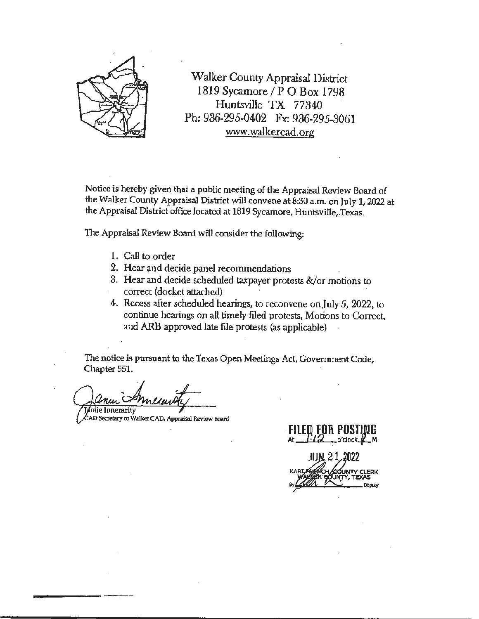

Walker County Appraisal District 1819 Sycamore / P O Box 1798 Huntsville TX 77340 Ph: 936-295-0402 Fx: 936-295-3061 www.walkercad.org

Notice is hereby given that a public meeting of the Appraisal Review Board of the Walker County Appraisal District will convene at 8:30 a.m. on July 1, 2022 at the Appraisal District office located at 1819 Sycamore, Huntsville, Texas.

The Appraisal Review Board will consider the following:

- 1. Call to order
- 2. Hear and decide panel recommendations
- 3. Hear and decide scheduled taxpayer protests &/or motions to correct (docket attached)
- 4. Recess after scheduled hearings, to reconvene on July *S,* 2022, to continue hearings on all timely filed protests, Motions to Correct, and ARB approved late file protests (as applicable)

The notice is pursuant to the Texas Open Meetings Act, Government Code, Chapter 551.

Inlie Innerarity

AD Secretary to Walker CAD, Appraisal Review Board

. **FILEH FOR POSTIJUG**  At -/ *Q* o'clock-¥-M .ii<u>jn, 21, 2022</u>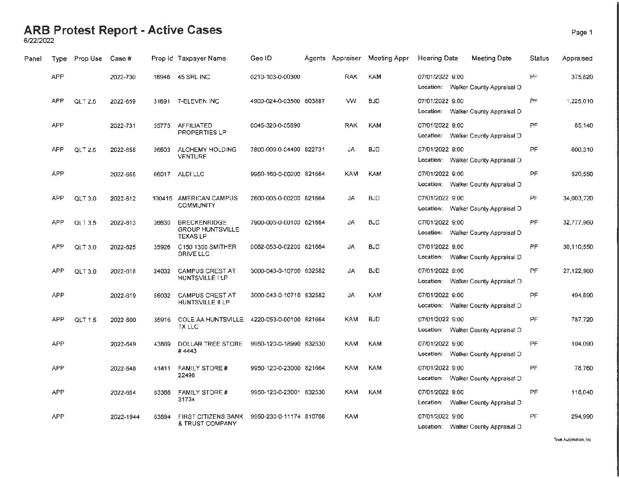### **ARB Protest Report - Active Cases** Page 1

6/22/2022

| Panel | Type       | Prop Use       | Case #    |        | Prop Id Taxpayer Name                                             | Geo ID                  | Agents Appraiser | Meeting Appr | <b>Hearing Date</b> | Meeting Date                        | Status    | Appraised  |
|-------|------------|----------------|-----------|--------|-------------------------------------------------------------------|-------------------------|------------------|--------------|---------------------|-------------------------------------|-----------|------------|
|       | <b>APP</b> |                | 2022-730  | 16946  | 45 SRL INC                                                        | 0210-103-0-00300        | <b>RAK</b>       | KAM          | 07/01/2022 9:00     | Location: Walker County Appraisal D | PF        | 375,820    |
|       | <b>APP</b> | <b>QLT 2.5</b> | 2022-659  |        | 31691 7-ELEVEN INC                                                | 4900-024-0-03500 803887 | w                | <b>BJD</b>   | 07/01/2022 9:00     | Location: Walker County Appraisal D | PF.       | 1,225,010  |
|       | <b>APP</b> |                | 2022-731  | 55775  | <b>AFFILIATED</b><br>PROPERTIES LP                                | 0045-320-0-05890        | <b>RAK</b>       | <b>KAM</b>   | 07/01/2022 9:00     | Location: Walker County Appraisal D | PF        | 85,140     |
|       | <b>APP</b> | QLT 2.5        | 2022-658  | 36603  | ALCHEMY HOLDING<br><b>VENTURE</b>                                 | 7800-009-0-04400 822731 | JA               | <b>BJD</b>   | 07/01/2022 9:00     | Location: Walker County Appraisal D | PF.       | 600,310    |
|       | <b>APP</b> |                | 2022-655  | 66017  | ALDI LLC                                                          | 9950-160-0-00200 821664 | <b>KAM</b>       | <b>KAM</b>   | 07/01/2022 9:00     | Location: Walker County Appraisal D | PF        | 520,550    |
|       | <b>APP</b> | QLT 3.0        | 2022-612  | 100415 | <b>AMERICAN CAMPUS</b><br><b>COMMUNITY</b>                        | 2600-005-0-00200 821664 | <b>JA</b>        | <b>BJD</b>   | 07/01/2022 9:00     | Location: Walker County Appraisal D | PF        | 34,003,720 |
|       | <b>APP</b> | <b>QLT 3.5</b> | 2022-613  | 36630  | <b>BRECKENRIDGE</b><br><b>GROUP HUNTSVILLE</b><br><b>TEXAS LP</b> | 7900-005-0-00100 821664 | JA.              | <b>BJD</b>   | 07/01/2022 9:00     | Location: Walker County Appraisal D | <b>PF</b> | 32,777,960 |
|       | <b>APP</b> | QLT 3.0        | 2022-625  | 35926  | C150 1300 SMITHER<br>DRIVE LLC                                    | 0062-053-0-02200 821664 | JA               | <b>BJD</b>   | 07/01/2022 9:00     | Location: Walker County Appraisal D | <b>PF</b> | 30,110,550 |
|       | <b>APP</b> | QLT3.0         | 2022-618  | 24032  | <b>CAMPUS CREST AT</b><br>HUNTSVILLE I LP                         | 3000-043-0-10700 832582 | JA               | <b>BJD</b>   | 07/01/2022 9:00     | Location: Walker County Appraisal D | PF.       | 27,122,960 |
|       | <b>APP</b> |                | 2022-619  | 56032  | <b>CAMPUS CREST AT</b><br>HUNTSVILLE II LP                        | 3000-043-0-10710 832582 | JA               | <b>KAM</b>   | 07/01/2022 9:00     | Location: Walker County Appraisal D | PF        | 494.890    |
|       | <b>APP</b> | QLT 1.5        | 2022-600  | 35916  | COLE AA HUNTSVILLE<br>TX LLC                                      | 4220-053-0-00100 821664 | <b>KAM</b>       | <b>BJD</b>   | 07/01/2022 9:00     | Location: Walker County Appraisal D | <b>PF</b> | 787.720    |
|       | <b>APP</b> |                | 2022-649  | 43869  | DOLLAR TREE STORE<br>#4443                                        | 9950-120-0-18990 832530 | <b>KAM</b>       | <b>KAM</b>   | 07/01/2022 9:00     | Location: Walker County Appraisal D | PF        | 104,090    |
|       | <b>APP</b> |                | 2022-648  | 41411  | <b>FAMILY STORE #</b><br>22498                                    | 9950-120-0-23000 821664 | <b>KAM</b>       | <b>KAM</b>   | 07/01/2022 9:00     | Location: Walker County Appraisal D | <b>PF</b> | 78,760     |
|       | <b>APP</b> |                | 2022-654  | 63366  | <b>FAMILY STORE #</b><br>31734                                    | 9950-120-0-23001 832530 | <b>KAM</b>       | <b>KAM</b>   | 07/01/2022 9:00     | Location: Walker County Appraisal D | PF.       | 118,040    |
|       | <b>APP</b> |                | 2022-1944 | 63894  | FIRST CITIZENS BANK<br>& TRUST COMPANY                            | 9950-230-0-11174 810706 | <b>KAM</b>       |              | 07/01/2022 9:00     | Location: Walker County Appraisal D | <b>PF</b> | 294.990    |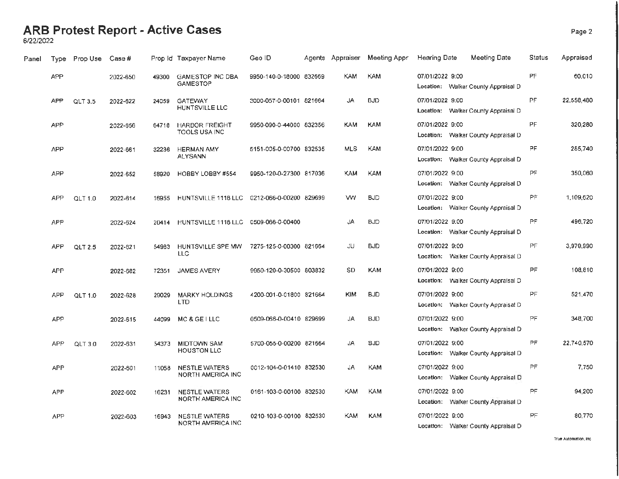#### **ARB Protest Report - Active Cases** Page 2

6/22/2022

| Panel | <b>Type</b> | Prop Use       | Case#    |       | Prop Id Taxpayer Name                        | Geo ID                  |            | Agents Appraiser Meeting Appr | Hearing Date    | <b>Meeting Date</b>                 | Status    | Appraised  |
|-------|-------------|----------------|----------|-------|----------------------------------------------|-------------------------|------------|-------------------------------|-----------------|-------------------------------------|-----------|------------|
|       | <b>APP</b>  |                | 2022-650 | 49300 | <b>GAMESTOP INC DBA</b><br><b>GAMESTOP</b>   | 9950-140-0-18000 832669 | KAM.       | KAM                           | 07/01/2022 9:00 | Location: Walker County Appraisal D | PF        | 60,010     |
|       | APP         | QLT 3.5        | 2022-622 | 24059 | <b>GATEWAY</b><br>HUNTSVILLE LLC             | 3000-057-0-00101 821664 | JA         | <b>BJD</b>                    | 07/01/2022 9:00 | Location: Walker County Appraisal D | PF        | 22,558,480 |
|       | <b>APP</b>  |                | 2022-656 | 64718 | <b>HARBOR FREIGHT</b><br>TOOLS USA INC       | 9950-090-0-44000 832356 | <b>KAM</b> | <b>KAM</b>                    | 07/01/2022 9:00 | Location: Walker County Appraisal D | PF        | 320,280    |
|       | <b>APP</b>  |                | 2022-661 | 32236 | <b>HERMAN AMY</b><br><b>ALYSANN</b>          | 5151-005-0-00700 832535 | <b>MLS</b> | <b>KAM</b>                    | 07/01/2022 9:00 | Location: Walker County Appraisal D | PF        | 285,740    |
|       | APP         |                | 2022-652 | 58920 | HOBBY LOBBY #554                             | 9950-120-0-27300 817036 | <b>KAM</b> | KAM                           | 07/01/2022 9:00 | Location: Walker County Appraisal D | PF        | 350,060    |
|       | <b>APP</b>  | <b>QLT 1.0</b> | 2022-614 | 16955 | HUNTSVILLE 1118 LLC  0212-066-0-00200 829699 |                         | w.         | <b>BJD</b>                    | 07/01/2022 9:00 | Location: Walker County Appraisal D | PF        | 1,109,620  |
|       | <b>APP</b>  |                | 2022-624 | 20414 | HUNTSVILLE 1118 LLC  0509-066-0-00400        |                         | JA         | <b>BJD</b>                    | 07/01/2022 9:00 | Location: Walker County Appraisal D | <b>PF</b> | 496,720    |
|       | <b>APP</b>  | QLT 2.5        | 2022-621 | 54983 | HUNTSVILLE SPE MW<br>LLC                     | 7275-125-0-00300 821664 | JU.        | <b>BJD</b>                    | 07/01/2022 9:00 | Location: Walker County Appraisal D | <b>PF</b> | 3,979,990  |
|       | <b>APP</b>  |                | 2022-682 | 72351 | JAMES AVERY                                  | 9950-120-0-30500 803832 | SD         | <b>KAM</b>                    | 07/01/2022 9:00 | Location: Walker County Appraisal D | PF        | 108,810    |
|       | APP         | QLT 1.0        | 2022-628 | 29029 | <b>MARKY HOLDINGS</b><br><b>LTD</b>          | 4200-001-0-01800 821664 | <b>KIM</b> | <b>BJD</b>                    | 07/01/2022 9:00 | Location: Walker County Appraisal D | <b>PF</b> | 521,470    |
|       | <b>APP</b>  |                | 2022-615 | 44099 | MC & GE I LLC                                | 0509-066-0-00410 829699 | JA         | <b>BJD</b>                    | 07/01/2022 9:00 | Location: Walker County Appraisal D | PF        | 348,700    |
|       | APP         | QLT 3.0        | 2022-631 | 54373 | <b>MIDTOWN SAM</b><br><b>HOUSTON LLC</b>     | 5700-055-0-00200 821664 | JA         | <b>BJD</b>                    | 07/01/2022 9:00 | Location: Walker County Appraisal D | PF        | 22.740.570 |
|       | <b>APP</b>  |                | 2022-601 | 11058 | <b>NESTLE WATERS</b><br>NORTH AMERICA INC    | 0012-104-0-01410 832530 | JA         | KAM                           | 07/01/2022 9:00 | Location: Walker County Appraisal D | PF        | 7,750      |
|       | <b>APP</b>  |                | 2022-602 | 16231 | <b>NESTLE WATERS</b><br>NORTH AMERICA INC    | 0161-103-0-00100 832530 | KAM.       | KAM                           | 07/01/2022 9:00 | Location: Walker County Appraisal D | PF.       | 94,200     |
|       | <b>APP</b>  |                | 2022-603 | 16943 | NESTLE WATERS<br>NORTH AMERICA INC           | 0210-103-0-00100 832530 | <b>KAM</b> | <b>KAM</b>                    | 07/01/2022 9:00 | Location: Walker County Appraisal D | PF        | 80,770     |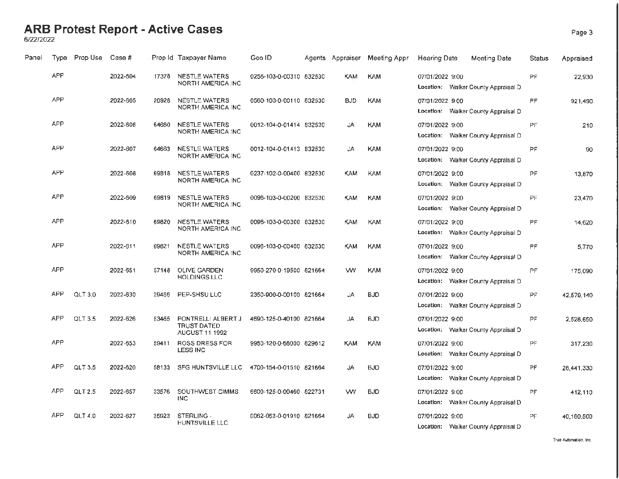## **ARB Protest Report - Active Cases** Page 3 6/22/2022

| Panel | <b>Type</b> | Prop Use | Case #   |       | Prop Id Taxpayer Name                                      | Geo ID                  | Agents Appraiser | Meeting Appr | Hearing Date<br>Meeting Date                           | Status    | Appraised  |
|-------|-------------|----------|----------|-------|------------------------------------------------------------|-------------------------|------------------|--------------|--------------------------------------------------------|-----------|------------|
|       | <b>APP</b>  |          | 2022-604 | 17378 | NESTLE WATERS<br>NORTH AMERICA INC                         | 0256-103-0-00310 832530 | KAM              | <b>KAM</b>   | 07/01/2022 9:00<br>Location: Walker County Appraisal D | <b>PF</b> | 22,930     |
|       | <b>APP</b>  |          | 2022-605 | 20928 | NESTLE WATERS<br>NORTH AMERICA INC                         | 0560-103-0-00110 832530 | <b>BJD</b>       | <b>KAM</b>   | 07/01/2022 9:00<br>Location: Walker County Appraisal D | PF.       | 921,490    |
|       | APP         |          | 2022-606 | 64660 | <b>NESTLE WATERS</b><br>NORTH AMERICA INC                  | 0012-104-0-01414 832530 | JA               | <b>KAM</b>   | 07/01/2022 9:00<br>Location: Walker County Appraisal D | PF        | 210        |
|       | <b>APP</b>  |          | 2022-607 | 64663 | NESTLE WATERS<br>NORTH AMERICA INC                         | 0012-104-0-01413 832530 | JA               | <b>KAM</b>   | 07/01/2022 9:00<br>Location: Walker County Appraisal D | PF.       | 90         |
|       | <b>APP</b>  |          | 2022-608 | 69818 | NESTLE WATERS<br>NORTH AMERICA INC                         | 0237-102-0-00400 832530 | KAM              | <b>KAM</b>   | 07/01/2022 9:00<br>Location: Walker County Appraisal D | <b>PF</b> | 13,870     |
|       | APP         |          | 2022-609 | 69819 | <b>NESTLE WATERS</b><br>NORTH AMERICA INC                  | 0096-103-0-00200 832530 | KAM              | <b>KAM</b>   | 07/01/2022 9:00<br>Location: Walker County Appraisal D | <b>PF</b> | 23.470     |
|       | <b>APP</b>  |          | 2022-610 | 69820 | <b>NESTLE WATERS</b><br>NORTH AMERICA INC                  | 0096-103-0-00300 832530 | KAM              | <b>KAM</b>   | 07/01/2022 9:00<br>Location: Walker County Appraisal D | PF.       | 14,620     |
|       | <b>APP</b>  |          | 2022-611 | 69821 | <b>NESTLE WATERS</b><br>NORTH AMERICA INC                  | 0096-103-0-00400 832530 | KAM              | <b>KAM</b>   | 07/01/2022 9:00<br>Location: Walker County Appraisal D | <b>PF</b> | 5,770      |
|       | <b>APP</b>  |          | 2022-651 | 57148 | <b>OLIVE GARDEN</b><br>HOLDINGS LLC                        | 9950-270-0-19500 821664 | w                | <b>KAM</b>   | 07/01/2022 9:00<br>Location: Walker County Appraisal D | PF.       | 175,090    |
|       | APP         | QLT 3.0  | 2022-630 | 29466 | PEP-SHSU LLC                                               | 2350-900-0-00100 821664 | JA               | <b>BJD</b>   | 07/01/2022 9:00<br>Location: Walker County Appraisal D | <b>PF</b> | 42,579,140 |
|       | <b>APP</b>  | QLT 3.5  | 2022-626 | 53465 | PONTRELLI ALBERT J<br><b>TRUST DATED</b><br>AUGUST 11 1992 | 4690-125-0-40100 821664 | JA               | <b>BJD</b>   | 07/01/2022 9:00<br>Location: Walker County Appraisal D | PF        | 2,528,650  |
|       | <b>APP</b>  |          | 2022-653 | 59411 | <b>ROSS DRESS FOR</b><br><b>LESS INC</b>                   | 9950-120-0-68000 829612 | <b>KAM</b>       | <b>KAM</b>   | 07/01/2022 9:00<br>Location: Walker County Appraisal D | PF        | 317.230    |
|       | <b>APP</b>  | QLT3.5   | 2022-620 | 58133 | SFG HUNTSVILLE LLC                                         | 4700-154-0-01510 821664 | JA               | <b>BJD</b>   | 07/01/2022 9:00<br>Location: Walker County Appraisal D | PF        | 28,441,330 |
|       | <b>APP</b>  | QLT 2.5  | 2022-657 | 33576 | SOUTHWEST CIMMS<br><b>INC</b>                              | 6600-125-0-00460 822731 | w                | <b>BJD</b>   | 07/01/2022 9:00<br>Location: Walker County Appraisal D | PF        | 412,110    |
|       | <b>APP</b>  | QLT 4.0  | 2022-627 | 35923 | STERLING -<br>HUNTSVILLE LLC                               | 0062-053-0-01910 821664 | <b>JA</b>        | <b>BJD</b>   | 07/01/2022 9:00<br>Location: Walker County Appraisal D | PF        | 40,180,500 |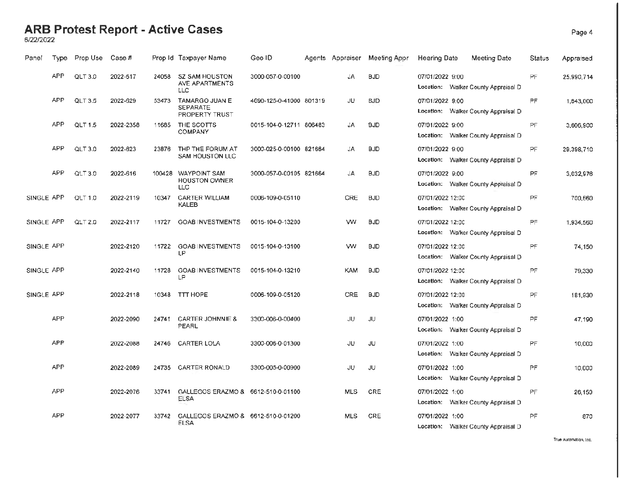#### **ARB Protest Report - Active Cases** Page 4

6/22/2022

| Panel      | Type       | Prop Use       | Case #    |        | Prop Id Taxpayer Name                                      | Geo ID                  | Agents Appraiser | Meeting Appr | Hearing Date<br>Meeting Date                            | Status    | Appraised  |
|------------|------------|----------------|-----------|--------|------------------------------------------------------------|-------------------------|------------------|--------------|---------------------------------------------------------|-----------|------------|
|            | <b>APP</b> | <b>QLT 3.0</b> | 2022-617  | 24058  | <b>SZ SAM HOUSTON</b><br>AVE APARTMENTS<br><b>LLC</b>      | 3000-057-0-00100        | JA               | <b>BJD</b>   | 07/01/2022 9:00<br>Location: Walker County Appraisal D  | PF        | 25,990,714 |
|            | <b>APP</b> | <b>QLT 3.5</b> | 2022-629  | 53473  | <b>TAMARGO JUAN E</b><br><b>SEPARATE</b><br>PROPERTY TRUST | 4690-125-0-41000 801319 | JU               | <b>BJD</b>   | 07/01/2022 9:00<br>Location: Walker County Appraisal D  | PF.       | 1,643,000  |
|            | APP        | <b>QLT 1.5</b> | 2022-2358 | 11685  | THE SCOTTS<br><b>COMPANY</b>                               | 0015-104-0-12711 806483 | JA               | <b>BJD</b>   | 07/01/2022 9:00<br>Location: Walker County Appraisal D  | PF        | 3,606,900  |
|            | <b>APP</b> | QLT 3.0        | 2022-623  | 23876  | THP THE FORUM AT<br>SAM HOUSTON LLC                        | 3000-025-0-00100 821684 | JA               | <b>BJD</b>   | 07/01/2022 9:00<br>Location: Walker County Appraisal D  | PF        | 29,398,710 |
|            | <b>APP</b> | QLT 3.0        | 2022-616  | 100428 | <b>WAYPOINT SAM</b><br><b>HOUSTON OWNER</b><br><b>LLC</b>  | 3000-057-0-00105 821664 | JA               | <b>BJD</b>   | 07/01/2022 9:00<br>Location: Walker County Appraisal D  | PF        | 3,032,976  |
| SINGLE APP |            | <b>QLT 1.0</b> | 2022-2119 | 10347  | <b>CARTER WILLIAM</b><br>KALEB                             | 0006-109-0-05110        | CRE              | <b>BJD</b>   | 07/01/2022 12:00<br>Location: Walker County Appraisal D | PF.       | 700,660    |
| SINGLE APP |            | QLT 2.0        | 2022-2117 | 11727  | <b>GOAB INVESTMENTS</b>                                    | 0015-104-0-13200        | w                | <b>BJD</b>   | 07/01/2022 12:00<br>Location: Walker County Appraisal D | PF.       | 1,934,560  |
| SINGLE APP |            |                | 2022-2120 | 11722  | <b>GOAB INVESTMENTS</b><br>LP                              | 0015-104-0-13100        | w                | <b>BJD</b>   | 07/01/2022 12:00<br>Location: Walker County Appraisal D | PF        | 74,150     |
| SINGLE APP |            |                | 2022-2140 | 11728  | <b>GOAB INVESTMENTS</b><br>LP                              | 0015-104-0-13210        | <b>KAM</b>       | <b>BJD</b>   | 07/01/2022 12:00<br>Location: Walker County Appraisal D | PF        | 79,330     |
| SINGLE APP |            |                | 2022-2118 | 10348  | TTT HOPE                                                   | 0006-109-0-05120        | CRE              | <b>BJD</b>   | 07/01/2022 12:00<br>Location: Walker County Appraisal D | PF        | 181,930    |
|            | <b>APP</b> |                | 2022-2090 | 24741  | <b>CARTER JOHNNIE &amp;</b><br>PEARL                       | 3300-006-0-00400        | JU               | JU           | 07/01/2022 1:00<br>Location: Walker County Appraisal D  | PF.       | 47.190     |
|            | <b>APP</b> |                | 2022-2088 | 24746  | CARTER LOLA                                                | 3300-006-0-01300        | JU               | JU.          | 07/01/2022 1:00<br>Location: Walker County Appraisal D  | <b>PF</b> | 10,000     |
|            | <b>APP</b> |                | 2022-2089 | 24735  | <b>CARTER RONALD</b>                                       | 3300-005-0-00900        | JU               | JU           | 07/01/2022 1:00<br>Location: Walker County Appraisal D  | <b>PF</b> | 10,000     |
|            | <b>APP</b> |                | 2022-2076 | 33741  | GALLEGOS ERAZMO & 6612-510-0-01100<br><b>ELSA</b>          |                         | <b>MLS</b>       | CRE          | 07/01/2022 1:00<br>Location: Walker County Appraisal D  | PF        | 26,150     |
|            | <b>APP</b> |                | 2022-2077 | 33742  | GALLEGOS ERAZMO & 6612-510-0-01200<br><b>ELSA</b>          |                         | <b>MLS</b>       | CRE          | 07/01/2022 1:00<br>Location: Walker County Appraisal D  | <b>PF</b> | 870        |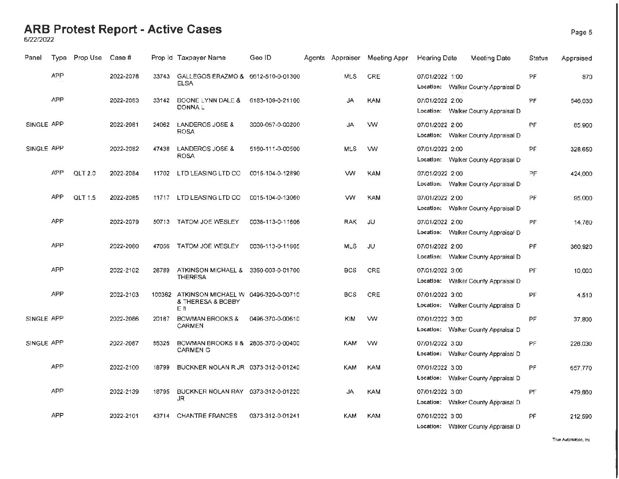## **ARB Protest Report - Active Cases** Page 5 6/22/2022

| Panel      | Type       | Prop Use | Case #    |        | Prop Id Taxpayer Name                                                           | Geo ID           | Agents Appraiser | Meeting Appr | <b>Hearing Date</b> | Meeting Date                        | <b>Status</b> | Appraised |
|------------|------------|----------|-----------|--------|---------------------------------------------------------------------------------|------------------|------------------|--------------|---------------------|-------------------------------------|---------------|-----------|
|            | APP        |          | 2022-2078 | 33743  | GALLEGOS ERAZMO & 6612-510-0-01300<br>ELSA                                      |                  | <b>MLS</b>       | CRE          | 07/01/2022 1:00     | Location: Walker County Appraisal D | <b>PF</b>     | 870       |
|            | <b>APP</b> |          | 2022-2083 | 33142  | <b>BOONE LYNN DALE &amp;</b><br><b>DONNAL</b>                                   | 6183-109-0-21100 | JA               | <b>KAM</b>   | 07/01/2022 2:00     | Location: Walker County Appraisal D | PF            | 546,030   |
| SINGLE APP |            |          | 2022-2081 | 24062  | LANDEROS JOSE &<br><b>ROSA</b>                                                  | 3000-057-0-00200 | JA               | <b>VW</b>    | 07/01/2022 2:00     | Location: Walker County Appraisal D | <b>PF</b>     | 85,900    |
| SINGLE APP |            |          | 2022-2082 | 47438  | LANDEROS JOSE &<br><b>ROSA</b>                                                  | 5160-111-0-00500 | <b>MLS</b>       | w            | 07/01/2022 2:00     | Location: Walker County Appraisal D | PF.           | 328,650   |
|            | <b>APP</b> | QLT 2.0  | 2022-2084 | 11702  | LTD LEASING LTD CO                                                              | 0015-104-0-12890 | w                | <b>KAM</b>   | 07/01/2022 2:00     | Location: Walker County Appraisal D | PF            | 424,000   |
|            | APP        | QLT 1.5  | 2022-2085 | 11717  | LTD LEASING LTD CO                                                              | 0015-104-0-13060 | w                | KAM          | 07/01/2022 2:00     | Location: Walker County Appraisal D | PF.           | 95,000    |
|            | <b>APP</b> |          | 2022-2079 |        | 50713 TATOM JOE WESLEY                                                          | 0038-113-0-11606 | <b>RAK</b>       | JU.          | 07/01/2022 2:00     | Location: Walker County Appraisal D | PF            | 14,780    |
|            | <b>APP</b> |          | 2022-2080 | 47056  | <b>TATOM JOE WESLEY</b>                                                         | 0038-113-0-11605 | <b>MLS</b>       | JU           | 07/01/2022 2:00     | Location: Walker County Appraisal D | <b>PF</b>     | 360,920   |
|            | <b>APP</b> |          | 2022-2102 | 26789  | ATKINSON MICHAEL &<br><b>THERESA</b>                                            | 3350-003-0-01700 | <b>BCS</b>       | CRE          | 07/01/2022 3:00     | Location: Walker County Appraisal D | <b>PF</b>     | 10,000    |
|            | <b>APP</b> |          | 2022-2103 | 100382 | ATKINSON MICHAEL W 0496-320-0-00710<br><b>&amp; THERESA &amp; BOBBY</b><br>E II |                  | <b>BCS</b>       | CRE          | 07/01/2022 3:00     | Location: Walker County Appraisal D | <b>PF</b>     | 4.510     |
| SINGLE APP |            |          | 2022-2086 | 20187  | <b>BOWMAN BROOKS &amp;</b><br>CARMEN                                            | 0496-370-0-00610 | <b>KIM</b>       | w            | 07/01/2022 3:00     | Location: Walker County Appraisal D | <b>PF</b>     | 37,800    |
| SINGLE APP |            |          | 2022-2087 | 55325  | BOWMAN BROOKS II & 2805-370-0-00400<br><b>CARMEN G</b>                          |                  | <b>KAM</b>       | w            | 07/01/2022 3:00     | Location: Walker County Appraisal D | PF            | 226,030   |
|            | <b>APP</b> |          | 2022-2100 | 18799  | BUCKNER NOLAN R JR 0373-312-0-01240                                             |                  | <b>KAM</b>       | <b>KAM</b>   | 07/01/2022 3:00     | Location: Walker County Appraisal D | PF            | 657,770   |
|            | <b>APP</b> |          | 2022-2139 | 18795  | BUCKNER NOLAN RAY 0373-312-0-01220<br>JR.                                       |                  | JA               | <b>KAM</b>   | 07/01/2022 3:00     | Location: Walker County Appraisal D | PF            | 479,860   |
|            | <b>APP</b> |          | 2022-2101 | 43714  | <b>CHANTRE FRANCES</b>                                                          | 0373-312-0-01241 | KAM              | <b>KAM</b>   | 07/01/2022 3:00     | Location: Walker County Appraisal D | PF            | 212,590   |